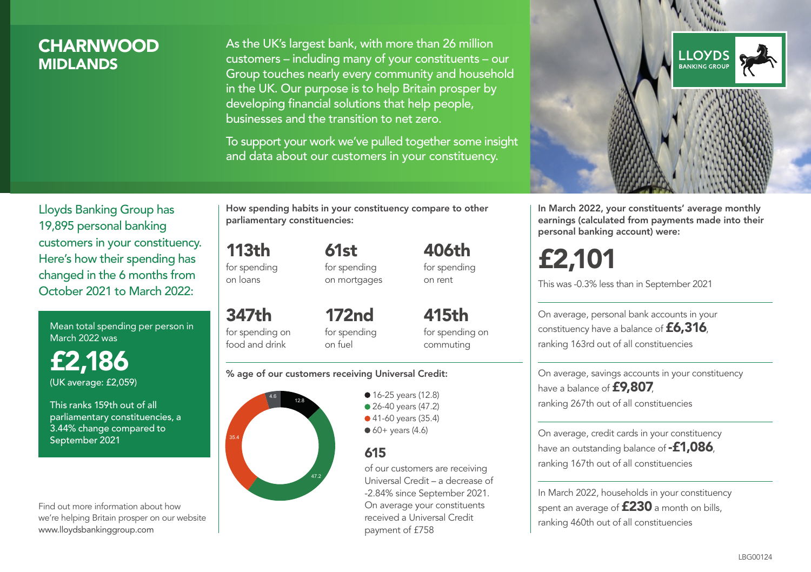### **CHARNWOOD MIDI ANDS**

As the UK's largest bank, with more than 26 million customers – including many of your constituents – our Group touches nearly every community and household in the UK. Our purpose is to help Britain prosper by developing financial solutions that help people, businesses and the transition to net zero.

To support your work we've pulled together some insight and data about our customers in your constituency.



Mean total spending per person in March 2022 was

£2,186 (UK average: £2,059)

This ranks 159th out of all parliamentary constituencies, a 3.44% change compared to September 2021

Find out more information about how we're helping Britain prosper on our website www.lloydsbankinggroup.com

How spending habits in your constituency compare to other parliamentary constituencies:

113th for spending 61st for spending on mortgages

on loans

347th for spending on food and drink 172nd for spending on fuel

415th for spending on commuting

406th for spending on rent

#### % age of our customers receiving Universal Credit:



**16-25 years (12.8)** ● 26-40 years (47.2) ● 41-60 years (35.4)  $60+$  years (4.6)

### 615

of our customers are receiving Universal Credit – a decrease of -2.84% since September 2021. On average your constituents received a Universal Credit payment of £758



In March 2022, your constituents' average monthly earnings (calculated from payments made into their personal banking account) were:

# £2,101

This was -0.3% less than in September 2021

On average, personal bank accounts in your constituency have a balance of £6,316, ranking 163rd out of all constituencies

On average, savings accounts in your constituency have a balance of **£9,807**, ranking 267th out of all constituencies

On average, credit cards in your constituency have an outstanding balance of  $-$ £1,086 ranking 167th out of all constituencies

In March 2022, households in your constituency spent an average of £230 a month on bills, ranking 460th out of all constituencies